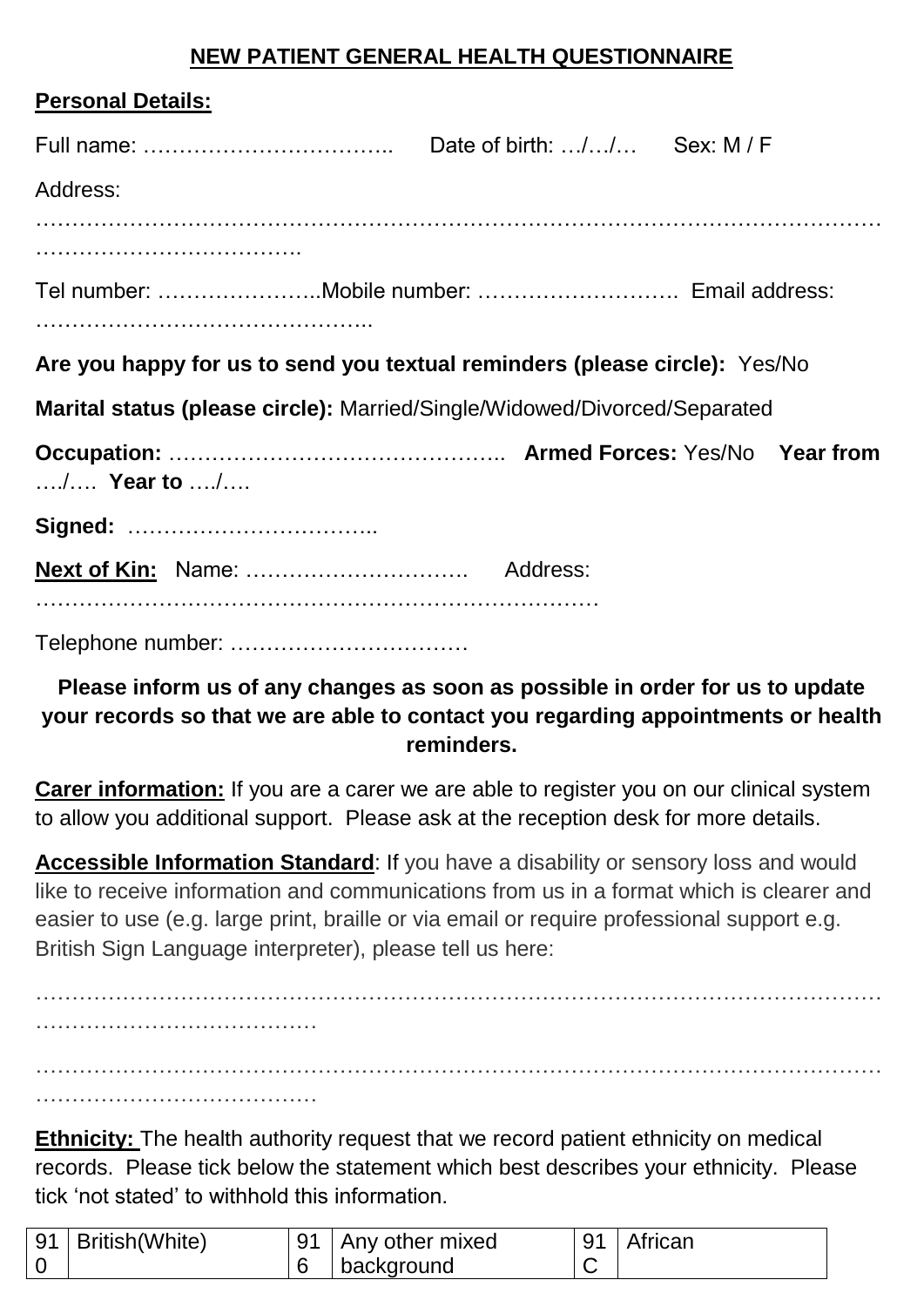## **NEW PATIENT GENERAL HEALTH QUESTIONNAIRE**

| <b>Personal Details:</b>                                                   |  |  |
|----------------------------------------------------------------------------|--|--|
|                                                                            |  |  |
| Address:                                                                   |  |  |
|                                                                            |  |  |
|                                                                            |  |  |
| Are you happy for us to send you textual reminders (please circle): Yes/No |  |  |
| Marital status (please circle): Married/Single/Widowed/Divorced/Separated  |  |  |
| / Year to /                                                                |  |  |
|                                                                            |  |  |
|                                                                            |  |  |
|                                                                            |  |  |

## **Please inform us of any changes as soon as possible in order for us to update your records so that we are able to contact you regarding appointments or health reminders.**

**Carer information:** If you are a carer we are able to register you on our clinical system to allow you additional support. Please ask at the reception desk for more details.

**Accessible Information Standard**: If you have a disability or sensory loss and would like to receive information and communications from us in a format which is clearer and easier to use (e.g. large print, braille or via email or require professional support e.g. British Sign Language interpreter), please tell us here:

……………………………………………………………………………………………………… ………………………………… ……………………………………………………………………………………………………… …………………………………

**Ethnicity:** The health authority request that we record patient ethnicity on medical records. Please tick below the statement which best describes your ethnicity. Please tick 'not stated' to withhold this information.

| 91   British (White) | 91 | Any other mixed | 91 | ∣African |
|----------------------|----|-----------------|----|----------|
|                      |    | background      |    |          |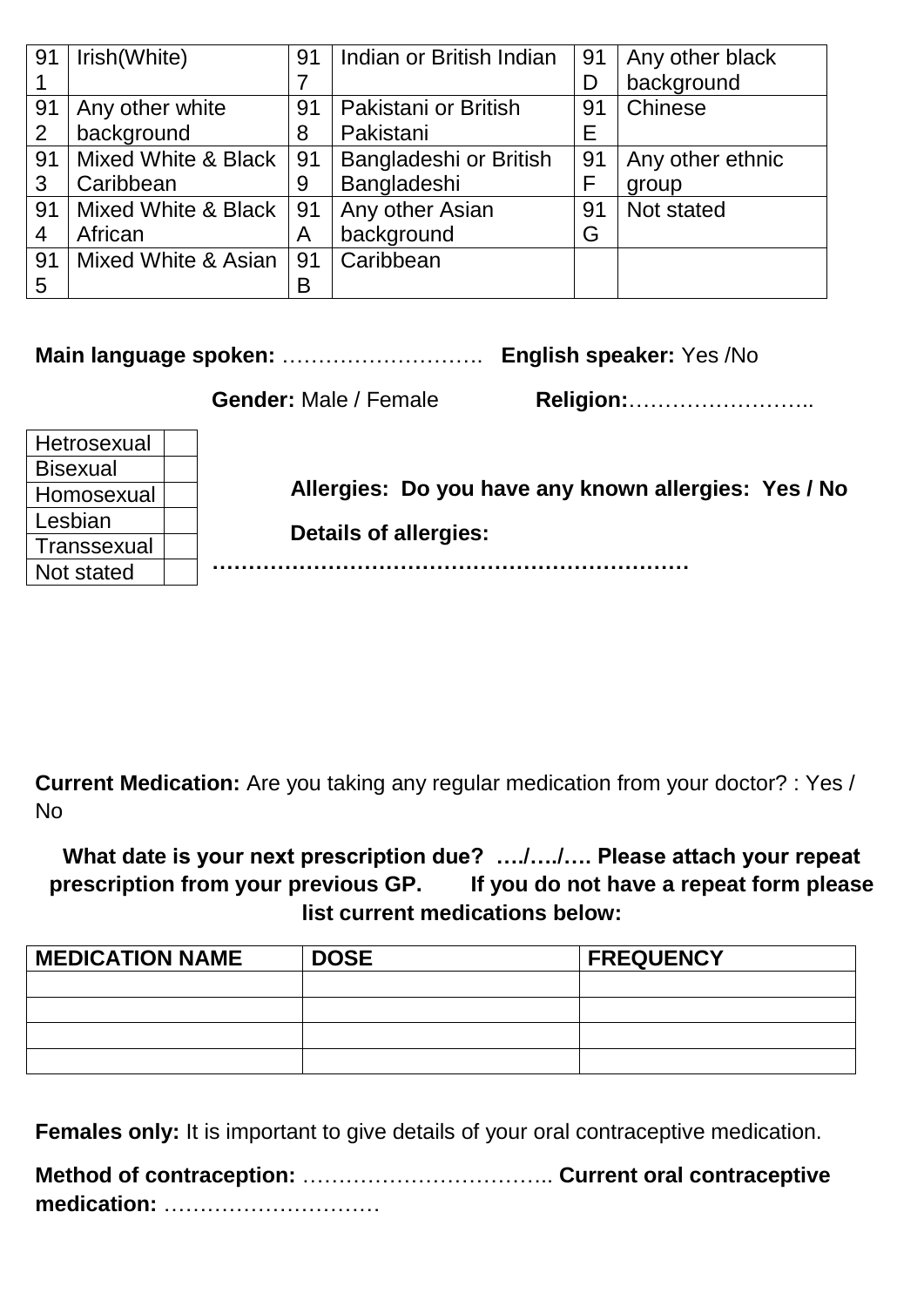| 91 | Irish(White)        | 91 | Indian or British Indian | 91 | Any other black  |
|----|---------------------|----|--------------------------|----|------------------|
|    |                     |    |                          | D  | background       |
| 91 | Any other white     | 91 | Pakistani or British     | 91 | Chinese          |
| 2  | background          | 8  | Pakistani                | Е  |                  |
| 91 | Mixed White & Black | 91 | Bangladeshi or British   | 91 | Any other ethnic |
| 3  | Caribbean           | 9  | Bangladeshi              | F  | group            |
| 91 | Mixed White & Black | 91 | Any other Asian          | 91 | Not stated       |
| 4  | African             | A  | background               | G  |                  |
| 91 | Mixed White & Asian | 91 | Caribbean                |    |                  |
| 5  |                     | B  |                          |    |                  |

**Main language spoken:** ………………………. **English speaker:** Yes /No

**Gender:** Male / Female **Religion:**……………………..

| Hetrosexual     |                                                      |
|-----------------|------------------------------------------------------|
| <b>Bisexual</b> |                                                      |
| Homosexual      | Allergies: Do you have any known allergies: Yes / No |
| Lesbian         | <b>Details of allergies:</b>                         |
| Transsexual     |                                                      |
| Not stated      |                                                      |

**Current Medication:** Are you taking any regular medication from your doctor? : Yes / No

**What date is your next prescription due? …./…./…. Please attach your repeat prescription from your previous GP. If you do not have a repeat form please list current medications below:**

| <b>MEDICATION NAME</b> | <b>DOSE</b> | <b>FREQUENCY</b> |
|------------------------|-------------|------------------|
|                        |             |                  |
|                        |             |                  |
|                        |             |                  |
|                        |             |                  |

**Females only:** It is important to give details of your oral contraceptive medication.

**Method of contraception:** …………………………….. **Current oral contraceptive medication:** …………………………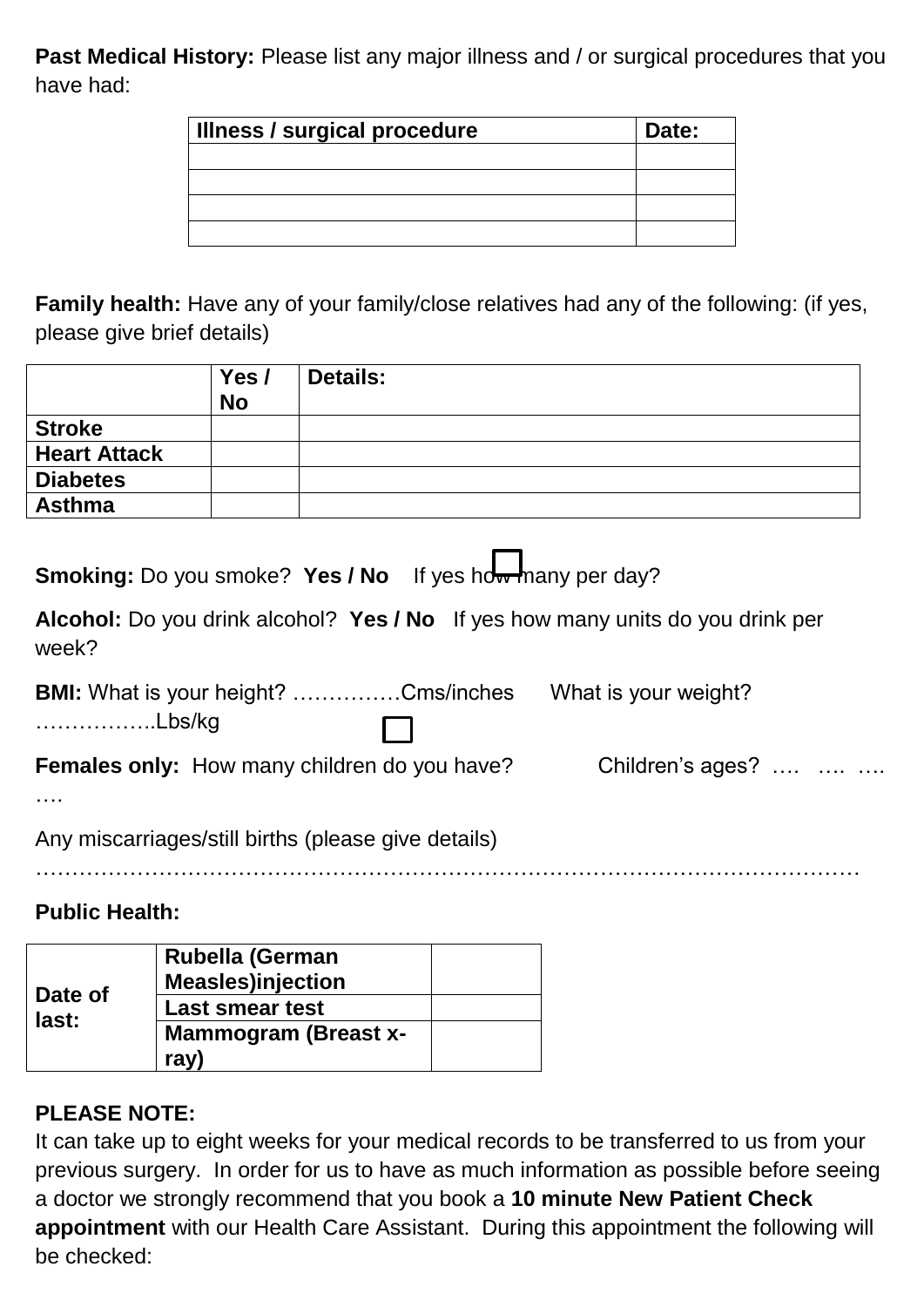Past Medical History: Please list any major illness and / or surgical procedures that you have had:

| <b>Illness / surgical procedure</b> | Date: |
|-------------------------------------|-------|
|                                     |       |
|                                     |       |
|                                     |       |
|                                     |       |

**Family health:** Have any of your family/close relatives had any of the following: (if yes, please give brief details)

|                     | Yes/<br><b>No</b> | <b>Details:</b> |
|---------------------|-------------------|-----------------|
| <b>Stroke</b>       |                   |                 |
| <b>Heart Attack</b> |                   |                 |
| <b>Diabetes</b>     |                   |                 |
| <b>Asthma</b>       |                   |                 |

**Smoking:** Do you smoke? Yes / No If yes how many per day?

**Alcohol:** Do you drink alcohol? **Yes / No** If yes how many units do you drink per week?

| <b>BMI:</b> What is your height? Cms/inches         | What is your weight? |  |
|-----------------------------------------------------|----------------------|--|
| ………………Lbs/kg<br>$\Box$                              |                      |  |
| <b>Females only:</b> How many children do you have? | Children's ages?     |  |

….

Any miscarriages/still births (please give details)

……………………………………………………………………………………………………

## **Public Health:**

| Date of<br>last: | <b>Rubella (German</b><br><b>Measles)injection</b> |  |
|------------------|----------------------------------------------------|--|
|                  | <b>Last smear test</b>                             |  |
|                  | <b>Mammogram (Breast x-</b>                        |  |
|                  | ray                                                |  |

## **PLEASE NOTE:**

It can take up to eight weeks for your medical records to be transferred to us from your previous surgery. In order for us to have as much information as possible before seeing a doctor we strongly recommend that you book a **10 minute New Patient Check appointment** with our Health Care Assistant. During this appointment the following will be checked: